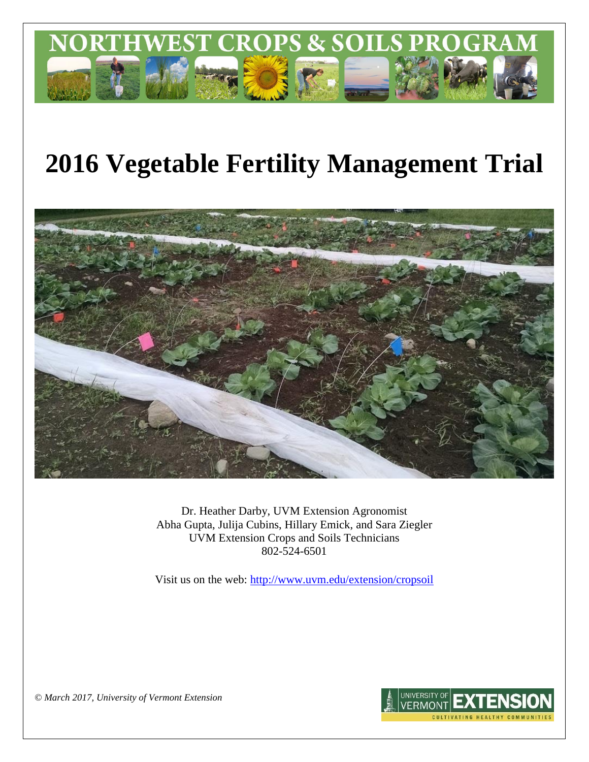

# **2016 Vegetable Fertility Management Trial**



Dr. Heather Darby, UVM Extension Agronomist Abha Gupta, Julija Cubins, Hillary Emick, and Sara Ziegler UVM Extension Crops and Soils Technicians 802-524-6501

Visit us on the web: <http://www.uvm.edu/extension/cropsoil>



*© March 2017, University of Vermont Extension*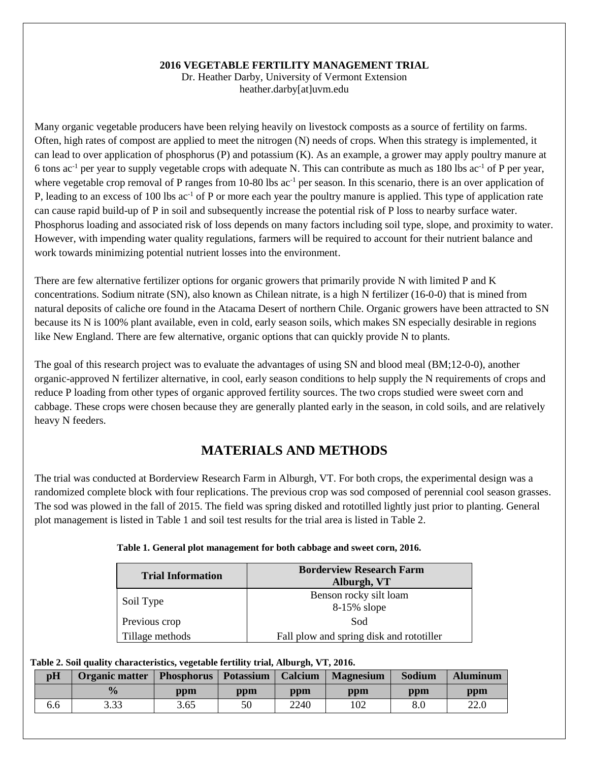## **2016 VEGETABLE FERTILITY MANAGEMENT TRIAL**

Dr. Heather Darby, University of Vermont Extension heather.darby[at]uvm.edu

Many organic vegetable producers have been relying heavily on livestock composts as a source of fertility on farms. Often, high rates of compost are applied to meet the nitrogen (N) needs of crops. When this strategy is implemented, it can lead to over application of phosphorus  $(P)$  and potassium  $(K)$ . As an example, a grower may apply poultry manure at 6 tons ac<sup>-1</sup> per year to supply vegetable crops with adequate N. This can contribute as much as 180 lbs ac<sup>-1</sup> of P per year, where vegetable crop removal of P ranges from 10-80 lbs  $ac^{-1}$  per season. In this scenario, there is an over application of P, leading to an excess of 100 lbs  $ac^{-1}$  of P or more each year the poultry manure is applied. This type of application rate can cause rapid build-up of P in soil and subsequently increase the potential risk of P loss to nearby surface water. Phosphorus loading and associated risk of loss depends on many factors including soil type, slope, and proximity to water. However, with impending water quality regulations, farmers will be required to account for their nutrient balance and work towards minimizing potential nutrient losses into the environment.

There are few alternative fertilizer options for organic growers that primarily provide N with limited P and K concentrations. Sodium nitrate (SN), also known as Chilean nitrate, is a high N fertilizer (16-0-0) that is mined from natural deposits of caliche ore found in the Atacama Desert of northern Chile. Organic growers have been attracted to SN because its N is 100% plant available, even in cold, early season soils, which makes SN especially desirable in regions like New England. There are few alternative, organic options that can quickly provide N to plants.

The goal of this research project was to evaluate the advantages of using SN and blood meal (BM;12-0-0), another organic-approved N fertilizer alternative, in cool, early season conditions to help supply the N requirements of crops and reduce P loading from other types of organic approved fertility sources. The two crops studied were sweet corn and cabbage. These crops were chosen because they are generally planted early in the season, in cold soils, and are relatively heavy N feeders.

## **MATERIALS AND METHODS**

The trial was conducted at Borderview Research Farm in Alburgh, VT. For both crops, the experimental design was a randomized complete block with four replications. The previous crop was sod composed of perennial cool season grasses. The sod was plowed in the fall of 2015. The field was spring disked and rototilled lightly just prior to planting. General plot management is listed in Table 1 and soil test results for the trial area is listed in Table 2.

| <b>Trial Information</b> | <b>Borderview Research Farm</b><br>Alburgh, VT |
|--------------------------|------------------------------------------------|
| Soil Type                | Benson rocky silt loam<br>8-15% slope          |
| Previous crop            | Sod                                            |
| Tillage methods          | Fall plow and spring disk and rototiller       |

## **Table 1. General plot management for both cabbage and sweet corn, 2016.**

### **Table 2. Soil quality characteristics, vegetable fertility trial, Alburgh, VT, 2016.**

| pH  | Organic matter | <b>Phosphorus</b> | <b>Potassium</b> | Calcium | <b>Magnesium</b> | Sodium | <b>Aluminum</b> |
|-----|----------------|-------------------|------------------|---------|------------------|--------|-----------------|
|     | $\frac{0}{6}$  | ppm               | ppm              | ppm     | ppm              | ppm    | ppm             |
| 0.0 | 3.33           | 3.65              | 50               | 2240    | 102              |        | 22.0            |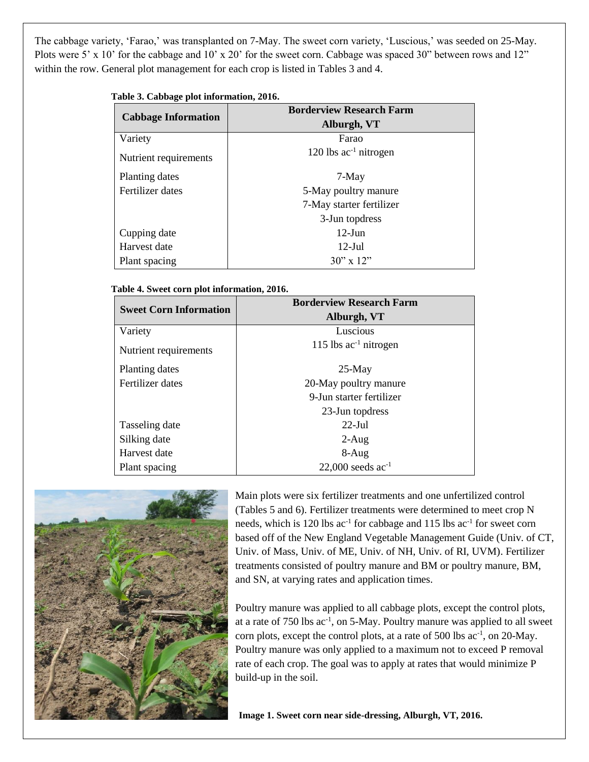The cabbage variety, 'Farao,' was transplanted on 7-May. The sweet corn variety, 'Luscious,' was seeded on 25-May. Plots were 5' x 10' for the cabbage and 10' x 20' for the sweet corn. Cabbage was spaced 30" between rows and 12" within the row. General plot management for each crop is listed in Tables 3 and 4.

| Table 3. Cabbage plot information, 2016. |
|------------------------------------------|
|------------------------------------------|

|                            | <b>Borderview Research Farm</b> |  |  |  |  |  |  |
|----------------------------|---------------------------------|--|--|--|--|--|--|
| <b>Cabbage Information</b> | Alburgh, VT                     |  |  |  |  |  |  |
| Variety                    | Farao                           |  |  |  |  |  |  |
| Nutrient requirements      | 120 lbs $ac^{-1}$ nitrogen      |  |  |  |  |  |  |
| Planting dates             | $7-May$                         |  |  |  |  |  |  |
| Fertilizer dates           | 5-May poultry manure            |  |  |  |  |  |  |
|                            | 7-May starter fertilizer        |  |  |  |  |  |  |
|                            | 3-Jun topdress                  |  |  |  |  |  |  |
| Cupping date               | $12$ -Jun                       |  |  |  |  |  |  |
| Harvest date               | $12$ -Jul                       |  |  |  |  |  |  |
| Plant spacing              | $30'' \times 12''$              |  |  |  |  |  |  |

## **Table 4. Sweet corn plot information, 2016.**

| <b>Sweet Corn Information</b> | <b>Borderview Research Farm</b><br>Alburgh, VT |
|-------------------------------|------------------------------------------------|
| Variety                       | Luscious                                       |
| Nutrient requirements         | 115 lbs $ac^{-1}$ nitrogen                     |
| Planting dates                | $25-May$                                       |
| Fertilizer dates              | 20-May poultry manure                          |
|                               | 9-Jun starter fertilizer                       |
|                               | 23-Jun topdress                                |
| Tasseling date                | $22$ -Jul                                      |
| Silking date                  | $2-Aug$                                        |
| Harvest date                  | $8-Aug$                                        |
| Plant spacing                 | 22,000 seeds $ac^{-1}$                         |



Main plots were six fertilizer treatments and one unfertilized control (Tables 5 and 6). Fertilizer treatments were determined to meet crop N needs, which is 120 lbs ac<sup>-1</sup> for cabbage and 115 lbs ac<sup>-1</sup> for sweet corn based off of the New England Vegetable Management Guide (Univ. of CT, Univ. of Mass, Univ. of ME, Univ. of NH, Univ. of RI, UVM). Fertilizer treatments consisted of poultry manure and BM or poultry manure, BM, and SN, at varying rates and application times.

Poultry manure was applied to all cabbage plots, except the control plots, at a rate of  $750$  lbs  $ac^{-1}$ , on  $5$ -May. Poultry manure was applied to all sweet corn plots, except the control plots, at a rate of 500 lbs ac<sup>-1</sup>, on 20-May. Poultry manure was only applied to a maximum not to exceed P removal rate of each crop. The goal was to apply at rates that would minimize P build-up in the soil.

**Image 1. Sweet corn near side-dressing, Alburgh, VT, 2016.**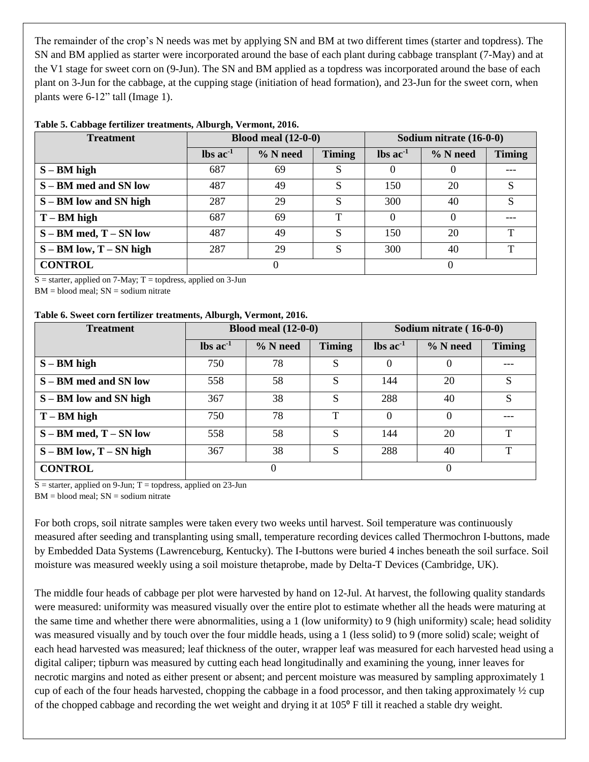The remainder of the crop's N needs was met by applying SN and BM at two different times (starter and topdress). The SN and BM applied as starter were incorporated around the base of each plant during cabbage transplant (7-May) and at the V1 stage for sweet corn on (9-Jun). The SN and BM applied as a topdress was incorporated around the base of each plant on 3-Jun for the cabbage, at the cupping stage (initiation of head formation), and 23-Jun for the sweet corn, when plants were 6-12" tall (Image 1).

| <b>Treatment</b>                         | Blood meal $(12-0-0)$         |            |               |                               | Sodium nitrate $(16-0-0)$ |               |
|------------------------------------------|-------------------------------|------------|---------------|-------------------------------|---------------------------|---------------|
|                                          | $\text{lbs}$ ac <sup>-1</sup> | $%$ N need | <b>Timing</b> | $\text{lbs}$ ac <sup>-1</sup> | $%$ N need                | <b>Timing</b> |
| $S - BM$ high                            | 687                           | 69         | S             | 0                             | U                         |               |
| S – BM med and SN low                    | 487                           | 49         | S             | 150                           | 20                        | S             |
| S – BM low and SN high                   | 287                           | 29         | S             | 300                           | 40                        | S             |
| $T - BM$ high                            | 687                           | 69         | $\mathbf{T}$  |                               | O                         |               |
| $S - BM \text{ med}, T - SN \text{ low}$ | 487                           | 49         | S             | 150                           | 20                        | $\mathbf{T}$  |
| $S - BM$ low, $T - SN$ high              | 287                           | 29         | S             | 300                           | 40                        | T             |
| <b>CONTROL</b>                           | $\theta$                      |            |               |                               | 0                         |               |

## **Table 5. Cabbage fertilizer treatments, Alburgh, Vermont, 2016.**

 $S =$  starter, applied on 7-May; T = topdress, applied on 3-Jun

 $BM = blood$  meal;  $SN = sodium$  nitrate

### **Table 6. Sweet corn fertilizer treatments, Alburgh, Vermont, 2016.**

| <b>Treatment</b>                         | Blood meal $(12-0-0)$         |            |               | Sodium nitrate (16-0-0)       |            |               |
|------------------------------------------|-------------------------------|------------|---------------|-------------------------------|------------|---------------|
|                                          | $\text{lbs}$ ac <sup>-1</sup> | $%$ N need | <b>Timing</b> | $\text{lbs}$ ac <sup>-1</sup> | $%$ N need | <b>Timing</b> |
| $S - BM$ high                            | 750                           | 78         | S             | $\Omega$                      | $\theta$   |               |
| S – BM med and SN low                    | 558                           | 58         | S             | 144                           | 20         | S             |
| S – BM low and SN high                   | 367                           | 38         | S             | 288                           | 40         | S             |
| $T - BM$ high                            | 750                           | 78         | т             |                               | $\Omega$   |               |
| $S - BM \text{ med}, T - SN \text{ low}$ | 558                           | 58         | S             | 144                           | 20         | ᠇             |
| $S - BM$ low, $T - SN$ high              | 367                           | 38         | S             | 288                           | 40         | $\mathbf{T}$  |
| <b>CONTROL</b>                           | 0                             |            |               |                               |            |               |

 $S =$  starter, applied on 9-Jun; T = topdress, applied on 23-Jun

 $BM = blood$  meal;  $SN = sodium$  nitrate

For both crops, soil nitrate samples were taken every two weeks until harvest. Soil temperature was continuously measured after seeding and transplanting using small, temperature recording devices called Thermochron I-buttons, made by Embedded Data Systems (Lawrenceburg, Kentucky). The I-buttons were buried 4 inches beneath the soil surface. Soil moisture was measured weekly using a soil moisture thetaprobe, made by Delta-T Devices (Cambridge, UK).

The middle four heads of cabbage per plot were harvested by hand on 12-Jul. At harvest, the following quality standards were measured: uniformity was measured visually over the entire plot to estimate whether all the heads were maturing at the same time and whether there were abnormalities, using a 1 (low uniformity) to 9 (high uniformity) scale; head solidity was measured visually and by touch over the four middle heads, using a 1 (less solid) to 9 (more solid) scale; weight of each head harvested was measured; leaf thickness of the outer, wrapper leaf was measured for each harvested head using a digital caliper; tipburn was measured by cutting each head longitudinally and examining the young, inner leaves for necrotic margins and noted as either present or absent; and percent moisture was measured by sampling approximately 1 cup of each of the four heads harvested, chopping the cabbage in a food processor, and then taking approximately ½ cup of the chopped cabbage and recording the wet weight and drying it at  $105^{\circ}$  F till it reached a stable dry weight.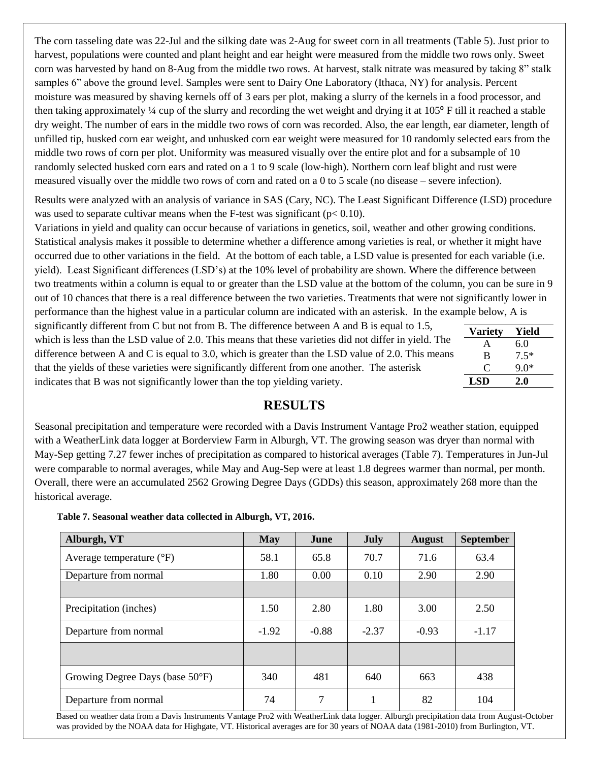The corn tasseling date was 22-Jul and the silking date was 2-Aug for sweet corn in all treatments (Table 5). Just prior to harvest, populations were counted and plant height and ear height were measured from the middle two rows only. Sweet corn was harvested by hand on 8-Aug from the middle two rows. At harvest, stalk nitrate was measured by taking 8" stalk samples 6" above the ground level. Samples were sent to Dairy One Laboratory (Ithaca, NY) for analysis. Percent moisture was measured by shaving kernels off of 3 ears per plot, making a slurry of the kernels in a food processor, and then taking approximately  $\frac{1}{4}$  cup of the slurry and recording the wet weight and drying it at  $105^{\circ}$  F till it reached a stable dry weight. The number of ears in the middle two rows of corn was recorded. Also, the ear length, ear diameter, length of unfilled tip, husked corn ear weight, and unhusked corn ear weight were measured for 10 randomly selected ears from the middle two rows of corn per plot. Uniformity was measured visually over the entire plot and for a subsample of 10 randomly selected husked corn ears and rated on a 1 to 9 scale (low-high). Northern corn leaf blight and rust were measured visually over the middle two rows of corn and rated on a 0 to 5 scale (no disease – severe infection).

Results were analyzed with an analysis of variance in SAS (Cary, NC). The Least Significant Difference (LSD) procedure was used to separate cultivar means when the F-test was significant ( $p < 0.10$ ).

Variations in yield and quality can occur because of variations in genetics, soil, weather and other growing conditions. Statistical analysis makes it possible to determine whether a difference among varieties is real, or whether it might have occurred due to other variations in the field. At the bottom of each table, a LSD value is presented for each variable (i.e. yield). Least Significant differences (LSD's) at the 10% level of probability are shown. Where the difference between two treatments within a column is equal to or greater than the LSD value at the bottom of the column, you can be sure in 9 out of 10 chances that there is a real difference between the two varieties. Treatments that were not significantly lower in performance than the highest value in a particular column are indicated with an asterisk. In the example below, A is

significantly different from C but not from B. The difference between A and B is equal to 1.5, which is less than the LSD value of 2.0. This means that these varieties did not differ in yield. The difference between A and C is equal to 3.0, which is greater than the LSD value of 2.0. This means that the yields of these varieties were significantly different from one another. The asterisk indicates that B was not significantly lower than the top yielding variety.

| Yield  |
|--------|
| 6.0    |
| $7.5*$ |
| $9.0*$ |
| 2.0    |
|        |

## **RESULTS**

Seasonal precipitation and temperature were recorded with a Davis Instrument Vantage Pro2 weather station, equipped with a WeatherLink data logger at Borderview Farm in Alburgh, VT. The growing season was dryer than normal with May-Sep getting 7.27 fewer inches of precipitation as compared to historical averages (Table 7). Temperatures in Jun-Jul were comparable to normal averages, while May and Aug-Sep were at least 1.8 degrees warmer than normal, per month. Overall, there were an accumulated 2562 Growing Degree Days (GDDs) this season, approximately 268 more than the historical average.

 **Table 7. Seasonal weather data collected in Alburgh, VT, 2016.**

| Alburgh, VT                       | <b>May</b> | <b>June</b> | July    | <b>August</b> | <b>September</b> |
|-----------------------------------|------------|-------------|---------|---------------|------------------|
| Average temperature $(^{\circ}F)$ | 58.1       | 65.8        | 70.7    | 71.6          | 63.4             |
| Departure from normal             | 1.80       | 0.00        | 0.10    | 2.90          | 2.90             |
|                                   |            |             |         |               |                  |
| Precipitation (inches)            | 1.50       | 2.80        | 1.80    | 3.00          | 2.50             |
| Departure from normal             | $-1.92$    | $-0.88$     | $-2.37$ | $-0.93$       | $-1.17$          |
|                                   |            |             |         |               |                  |
| Growing Degree Days (base 50°F)   | 340        | 481         | 640     | 663           | 438              |
| Departure from normal             | 74         | 7           |         | 82            | 104              |

Based on weather data from a Davis Instruments Vantage Pro2 with WeatherLink data logger. Alburgh precipitation data from August-October was provided by the NOAA data for Highgate, VT. Historical averages are for 30 years of NOAA data (1981-2010) from Burlington, VT.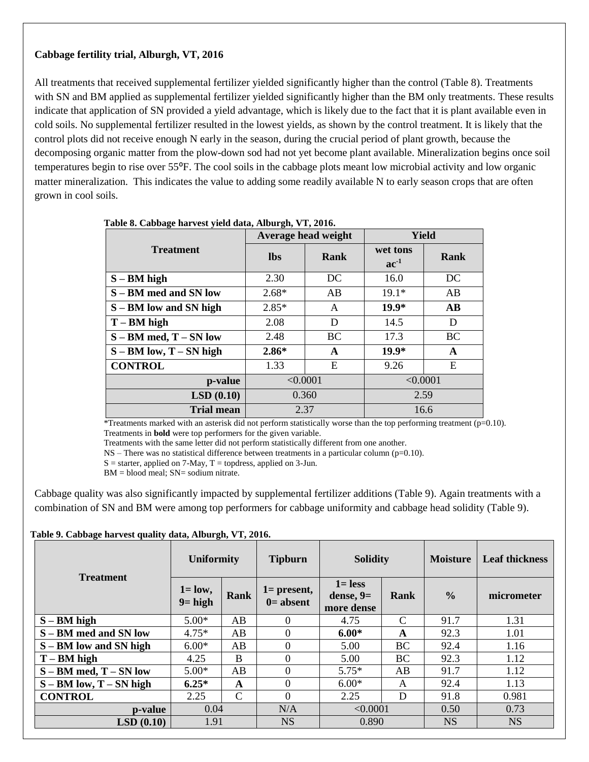## **Cabbage fertility trial, Alburgh, VT, 2016**

All treatments that received supplemental fertilizer yielded significantly higher than the control (Table 8). Treatments with SN and BM applied as supplemental fertilizer yielded significantly higher than the BM only treatments. These results indicate that application of SN provided a yield advantage, which is likely due to the fact that it is plant available even in cold soils. No supplemental fertilizer resulted in the lowest yields, as shown by the control treatment. It is likely that the control plots did not receive enough N early in the season, during the crucial period of plant growth, because the decomposing organic matter from the plow-down sod had not yet become plant available. Mineralization begins once soil temperatures begin to rise over 55<sup>o</sup>F. The cool soils in the cabbage plots meant low microbial activity and low organic matter mineralization. This indicates the value to adding some readily available N to early season crops that are often grown in cool soils.

|                                          | Average head weight |      | Yield                 |          |  |
|------------------------------------------|---------------------|------|-----------------------|----------|--|
| <b>Treatment</b>                         | <b>lbs</b>          | Rank | wet tons<br>$ac^{-1}$ | Rank     |  |
| $S - BM$ high                            | 2.30                | DC   | 16.0                  | DC       |  |
| S – BM med and SN low                    | $2.68*$             | AB   | $19.1*$               | AB       |  |
| S – BM low and SN high                   | $2.85*$             | A    | $19.9*$               | $\bf AB$ |  |
| $T - BM$ high                            | 2.08                | D    | 14.5                  | D        |  |
| $S - BM \text{ med}, T - SN \text{ low}$ | <b>BC</b><br>2.48   |      | 17.3                  | BC       |  |
| $S - BM$ low, $T - SN$ high              | $2.86*$             | A    | $19.9*$               | A        |  |
| <b>CONTROL</b>                           | 1.33                | E    | 9.26                  | E        |  |
| p-value                                  | < 0.0001            |      | < 0.0001              |          |  |
| LSD(0.10)                                | 0.360               |      | 2.59                  |          |  |
| <b>Trial mean</b>                        | 2.37                |      |                       | 16.6     |  |

| Table 8. Cabbage harvest yield data, Alburgh, VT, 2016. |  |  |  |  |  |  |
|---------------------------------------------------------|--|--|--|--|--|--|
|---------------------------------------------------------|--|--|--|--|--|--|

\*Treatments marked with an asterisk did not perform statistically worse than the top performing treatment  $(p=0.10)$ . Treatments in **bold** were top performers for the given variable.

Treatments with the same letter did not perform statistically different from one another.

NS – There was no statistical difference between treatments in a particular column (p=0.10).

 $S =$  starter, applied on 7-May,  $T =$  topdress, applied on 3-Jun.

 $BM = blood$  meal;  $SN = sodium$  nitrate.

Cabbage quality was also significantly impacted by supplemental fertilizer additions (Table 9). Again treatments with a combination of SN and BM were among top performers for cabbage uniformity and cabbage head solidity (Table 9).

|  |  |  | Table 9. Cabbage harvest quality data, Alburgh, VT, 2016. |
|--|--|--|-----------------------------------------------------------|
|  |  |  |                                                           |

| <b>Treatment</b>            | <b>Uniformity</b>        |               | <b>Tipburn</b>                | <b>Solidity</b>                         |              | <b>Moisture</b> | <b>Leaf thickness</b> |
|-----------------------------|--------------------------|---------------|-------------------------------|-----------------------------------------|--------------|-----------------|-----------------------|
|                             | $1 =$ low,<br>$9 = high$ | Rank          | $1 =$ present,<br>$0=$ absent | $1 =$ less<br>dense, $9=$<br>more dense | Rank         | $\frac{6}{6}$   | micrometer            |
| $S - BM$ high               | $5.00*$                  | AB            | $\theta$                      | 4.75                                    | C            | 91.7            | 1.31                  |
| S – BM med and SN low       | $4.75*$                  | AB            | $\theta$                      | $6.00*$                                 | $\mathbf{A}$ | 92.3            | 1.01                  |
| S – BM low and SN high      | $6.00*$                  | AB            | $\overline{0}$                | 5.00                                    | BC           | 92.4            | 1.16                  |
| $T - BM$ high               | 4.25                     | B             | $\Omega$                      | 5.00                                    | BС           | 92.3            | 1.12                  |
| $S - BM$ med, $T - SN$ low  | $5.00*$                  | AB            | $\overline{0}$                | $5.75*$                                 | AB           | 91.7            | 1.12                  |
| $S - BM$ low, $T - SN$ high | $6.25*$                  | A             | $\theta$                      | $6.00*$                                 | A            | 92.4            | 1.13                  |
| <b>CONTROL</b>              | 2.25                     | $\mathcal{C}$ | $\theta$                      | 2.25                                    | D            | 91.8            | 0.981                 |
| p-value                     | 0.04                     |               | N/A                           | < 0.0001                                |              | 0.50            | 0.73                  |
| LSD(0.10)                   | 1.91                     |               | NS                            | 0.890                                   |              | <b>NS</b>       | <b>NS</b>             |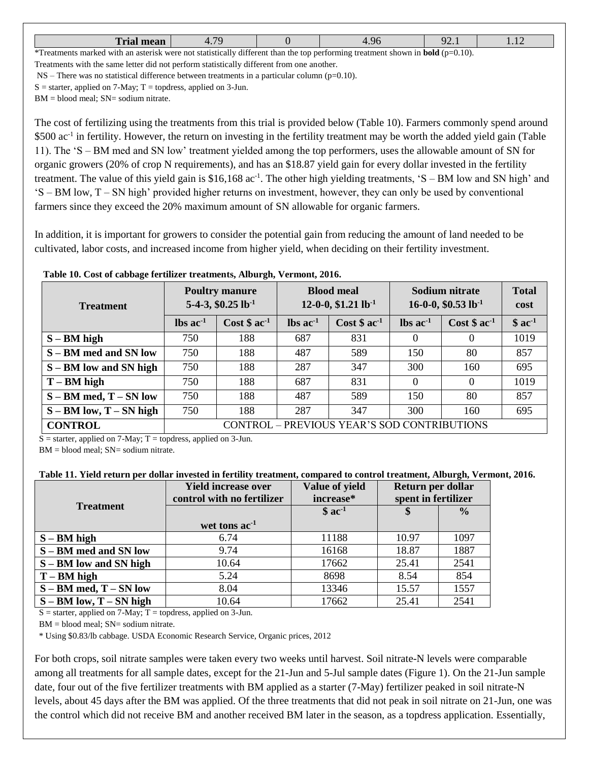| <b>There</b><br>------<br>Trial<br>_________________ | $\overline{\phantom{a}}$<br>. | ____ | $\overline{\phantom{a}}$ | $\overline{\phantom{a}}$ |
|------------------------------------------------------|-------------------------------|------|--------------------------|--------------------------|
|                                                      |                               |      |                          |                          |

\*Treatments marked with an asterisk were not statistically different than the top performing treatment shown in **bold** (p=0.10). Treatments with the same letter did not perform statistically different from one another.

 $NS$  – There was no statistical difference between treatments in a particular column (p=0.10).

 $S =$  starter, applied on 7-May;  $T =$  topdress, applied on 3-Jun.

 $BM = blood$  meal;  $SN = sodium$  nitrate.

The cost of fertilizing using the treatments from this trial is provided below (Table 10). Farmers commonly spend around \$500 ac<sup>-1</sup> in fertility. However, the return on investing in the fertility treatment may be worth the added yield gain (Table 11). The 'S – BM med and SN low' treatment yielded among the top performers, uses the allowable amount of SN for organic growers (20% of crop N requirements), and has an \$18.87 yield gain for every dollar invested in the fertility treatment. The value of this yield gain is \$16,168 ac<sup>-1</sup>. The other high yielding treatments, 'S – BM low and SN high' and 'S – BM low, T – SN high' provided higher returns on investment, however, they can only be used by conventional farmers since they exceed the 20% maximum amount of SN allowable for organic farmers.

In addition, it is important for growers to consider the potential gain from reducing the amount of land needed to be cultivated, labor costs, and increased income from higher yield, when deciding on their fertility investment.

| <b>Treatment</b>                         | <b>Poultry manure</b><br>5-4-3, $$0.25$ lb <sup>-1</sup> |               |                               | <b>Blood meal</b><br>12-0-0, \$1.21 lb <sup>-1</sup> | Sodium nitrate<br>16-0-0, $$0.53$ lb <sup>-1</sup> | <b>Total</b><br>cost |         |
|------------------------------------------|----------------------------------------------------------|---------------|-------------------------------|------------------------------------------------------|----------------------------------------------------|----------------------|---------|
|                                          | $\text{lbs}$ ac <sup>-1</sup>                            | $Cost $ ac-1$ | $\text{lbs}$ ac <sup>-1</sup> | $Cost $ ac-1$                                        | $\text{lbs}$ ac <sup>-1</sup>                      | $Cost $ ac-1$        | $$ac-1$ |
| $S - BM$ high                            | 750                                                      | 188           | 687                           | 831                                                  | $\Omega$                                           | $\Omega$             | 1019    |
| S – BM med and SN low                    | 750                                                      | 188           | 487                           | 589                                                  | 150                                                | 80                   | 857     |
| S – BM low and SN high                   | 750                                                      | 188           | 287                           | 347                                                  | 300                                                | 160                  | 695     |
| $T - BM$ high                            | 750                                                      | 188           | 687                           | 831                                                  | $\Omega$                                           | $\Omega$             | 1019    |
| $S - BM \text{ med}, T - SN \text{ low}$ | 750                                                      | 188           | 487                           | 589                                                  | 150                                                | 80                   | 857     |
| $S - BM$ low, $T - SN$ high              | 750                                                      | 188           | 287                           | 347                                                  | 300                                                | 160                  | 695     |
| <b>CONTROL</b>                           |                                                          |               |                               | CONTROL - PREVIOUS YEAR'S SOD CONTRIBUTIONS          |                                                    |                      |         |

**Table 10. Cost of cabbage fertilizer treatments, Alburgh, Vermont, 2016.** 

 $S =$  starter, applied on 7-May;  $T =$  topdress, applied on 3-Jun.

 $BM = blood$  meal;  $SN = sodium$  nitrate.

## **Table 11. Yield return per dollar invested in fertility treatment, compared to control treatment, Alburgh, Vermont, 2016.**

|                                          | <b>Yield increase over</b><br>control with no fertilizer | Value of yield<br>increase* | Return per dollar<br>spent in fertilizer |               |
|------------------------------------------|----------------------------------------------------------|-----------------------------|------------------------------------------|---------------|
| <b>Treatment</b>                         |                                                          | $$ac-1$                     |                                          | $\frac{0}{0}$ |
|                                          | wet tons ac <sup>-1</sup>                                |                             |                                          |               |
| $S - BM$ high                            | 6.74                                                     | 11188                       | 10.97                                    | 1097          |
| S – BM med and SN low                    | 9.74                                                     | 16168                       | 18.87                                    | 1887          |
| S – BM low and SN high                   | 10.64                                                    | 17662                       | 25.41                                    | 2541          |
| $T - BM$ high                            | 5.24                                                     | 8698                        | 8.54                                     | 854           |
| $S - BM \text{ med}, T - SN \text{ low}$ | 8.04                                                     | 13346                       | 15.57                                    | 1557          |
| $S - BM$ low, $T - SN$ high              | 10.64                                                    | 17662                       | 25.41                                    | 2541          |

 $S =$  starter, applied on 7-May;  $T =$  topdress, applied on 3-Jun.

 $BM = blood$  meal;  $SN = sodium$  nitrate.

\* Using \$0.83/lb cabbage. USDA Economic Research Service, Organic prices, 2012

For both crops, soil nitrate samples were taken every two weeks until harvest. Soil nitrate-N levels were comparable among all treatments for all sample dates, except for the 21-Jun and 5-Jul sample dates (Figure 1). On the 21-Jun sample date, four out of the five fertilizer treatments with BM applied as a starter (7-May) fertilizer peaked in soil nitrate-N levels, about 45 days after the BM was applied. Of the three treatments that did not peak in soil nitrate on 21-Jun, one was the control which did not receive BM and another received BM later in the season, as a topdress application. Essentially,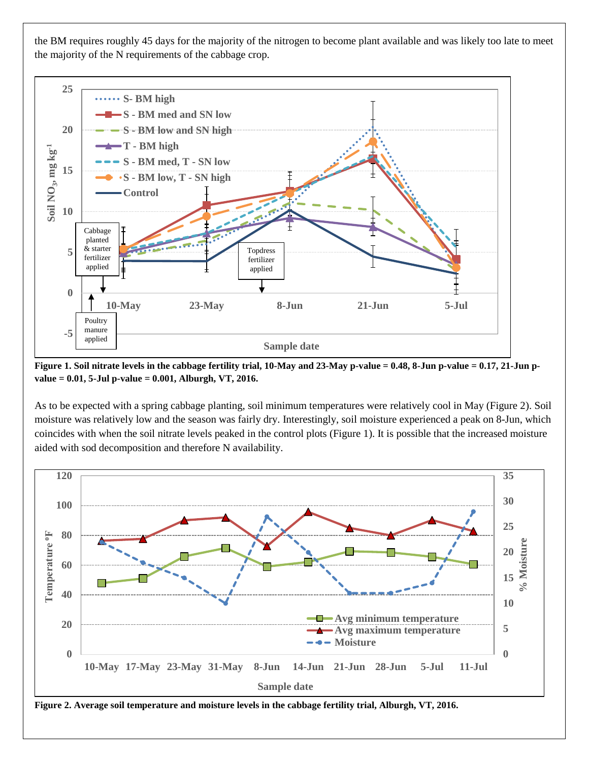the BM requires roughly 45 days for the majority of the nitrogen to become plant available and was likely too late to meet the majority of the N requirements of the cabbage crop.



**Figure 1. Soil nitrate levels in the cabbage fertility trial, 10-May and 23-May p-value = 0.48, 8-Jun p-value = 0.17, 21-Jun pvalue = 0.01, 5-Jul p-value = 0.001, Alburgh, VT, 2016.**

As to be expected with a spring cabbage planting, soil minimum temperatures were relatively cool in May (Figure 2). Soil moisture was relatively low and the season was fairly dry. Interestingly, soil moisture experienced a peak on 8-Jun, which coincides with when the soil nitrate levels peaked in the control plots (Figure 1). It is possible that the increased moisture aided with sod decomposition and therefore N availability.



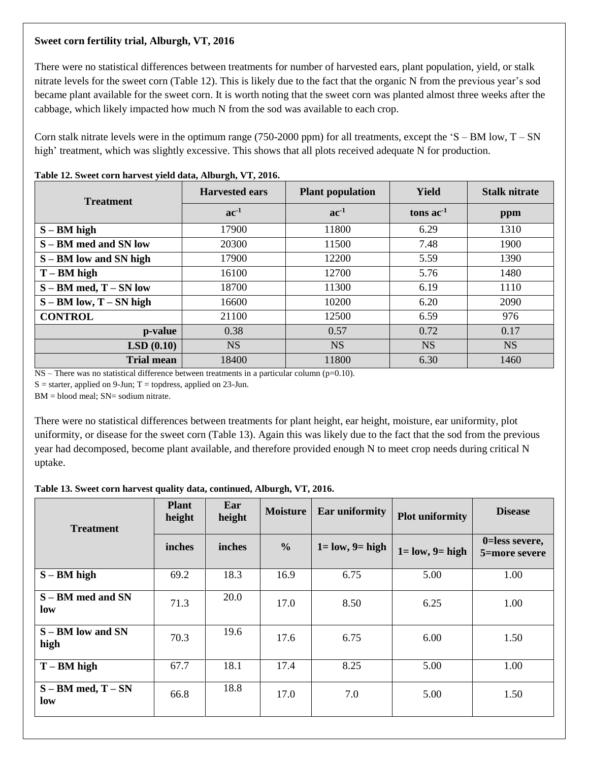## **Sweet corn fertility trial, Alburgh, VT, 2016**

There were no statistical differences between treatments for number of harvested ears, plant population, yield, or stalk nitrate levels for the sweet corn (Table 12). This is likely due to the fact that the organic N from the previous year's sod became plant available for the sweet corn. It is worth noting that the sweet corn was planted almost three weeks after the cabbage, which likely impacted how much N from the sod was available to each crop.

Corn stalk nitrate levels were in the optimum range (750-2000 ppm) for all treatments, except the  $S - BM$  low,  $T - SN$ high' treatment, which was slightly excessive. This shows that all plots received adequate N for production.

| $\frac{1}{2}$ and $\frac{1}{2}$ is the correct correct function $\frac{1}{2}$ and $\frac{1}{2}$ and $\frac{1}{2}$ is $\frac{1}{2}$ is $\frac{1}{2}$ is $\frac{1}{2}$ is $\frac{1}{2}$ is $\frac{1}{2}$ is $\frac{1}{2}$ is $\frac{1}{2}$ is $\frac{1}{2}$ is $\frac{1}{2}$ is $\frac{1}{2$<br><b>Treatment</b> | <b>Harvested ears</b> | <b>Plant population</b> | Yield       | <b>Stalk nitrate</b> |  |
|----------------------------------------------------------------------------------------------------------------------------------------------------------------------------------------------------------------------------------------------------------------------------------------------------------------|-----------------------|-------------------------|-------------|----------------------|--|
|                                                                                                                                                                                                                                                                                                                | $ac^{-1}$             | $ac^{-1}$               | tons $ac-1$ | ppm                  |  |
| $S - BM$ high                                                                                                                                                                                                                                                                                                  | 17900                 | 11800                   | 6.29        | 1310                 |  |
| S – BM med and SN low                                                                                                                                                                                                                                                                                          | 20300                 | 11500                   | 7.48        | 1900                 |  |
| S – BM low and SN high                                                                                                                                                                                                                                                                                         | 17900                 | 12200                   | 5.59        | 1390                 |  |
| $T - BM$ high                                                                                                                                                                                                                                                                                                  | 16100                 | 12700                   | 5.76        | 1480                 |  |
| $S - BM \text{ med}, T - SN \text{ low}$                                                                                                                                                                                                                                                                       | 18700                 | 11300                   | 6.19        | 1110                 |  |
| $S - BM$ low, $T - SN$ high                                                                                                                                                                                                                                                                                    | 16600                 | 10200                   | 6.20        | 2090                 |  |
| <b>CONTROL</b>                                                                                                                                                                                                                                                                                                 | 21100                 | 12500                   | 6.59        | 976                  |  |
| p-value                                                                                                                                                                                                                                                                                                        | 0.38                  | 0.57                    | 0.72        | 0.17                 |  |
| LSD(0.10)                                                                                                                                                                                                                                                                                                      | <b>NS</b>             | <b>NS</b>               | <b>NS</b>   | <b>NS</b>            |  |
| <b>Trial mean</b>                                                                                                                                                                                                                                                                                              | 18400                 | 11800                   | 6.30        | 1460                 |  |

## **Table 12. Sweet corn harvest yield data, Alburgh, VT, 2016.**

 $NS$  – There was no statistical difference between treatments in a particular column ( $p=0.10$ ).

 $S =$  starter, applied on 9-Jun; T = topdress, applied on 23-Jun.

 $BM = blood$  meal;  $SN = sodium$  nitrate.

There were no statistical differences between treatments for plant height, ear height, moisture, ear uniformity, plot uniformity, or disease for the sweet corn (Table 13). Again this was likely due to the fact that the sod from the previous year had decomposed, become plant available, and therefore provided enough N to meet crop needs during critical N uptake.

**Table 13. Sweet corn harvest quality data, continued, Alburgh, VT, 2016.** 

| <b>Treatment</b>                    | <b>Plant</b><br>height | Ear<br>height | <b>Moisture</b> | <b>Ear uniformity</b>  | <b>Plot uniformity</b> | <b>Disease</b>                  |
|-------------------------------------|------------------------|---------------|-----------------|------------------------|------------------------|---------------------------------|
|                                     | inches                 | inches        | $\frac{6}{6}$   | $1 = low$ , $9 = high$ | $1 = low, 9 = high$    | 0=less severe,<br>5=more severe |
| $S - BM$ high                       | 69.2                   | 18.3          | 16.9            | 6.75                   | 5.00                   | 1.00                            |
| S – BM med and SN<br>low            | 71.3                   | 20.0          | 17.0            | 8.50                   | 6.25                   | 1.00                            |
| $S - BM$ low and $SN$<br>high       | 70.3                   | 19.6          | 17.6            | 6.75                   | 6.00                   | 1.50                            |
| $T - BM$ high                       | 67.7                   | 18.1          | 17.4            | 8.25                   | 5.00                   | 1.00                            |
| $S - BM \text{ med}, T - SN$<br>low | 66.8                   | 18.8          | 17.0            | 7.0                    | 5.00                   | 1.50                            |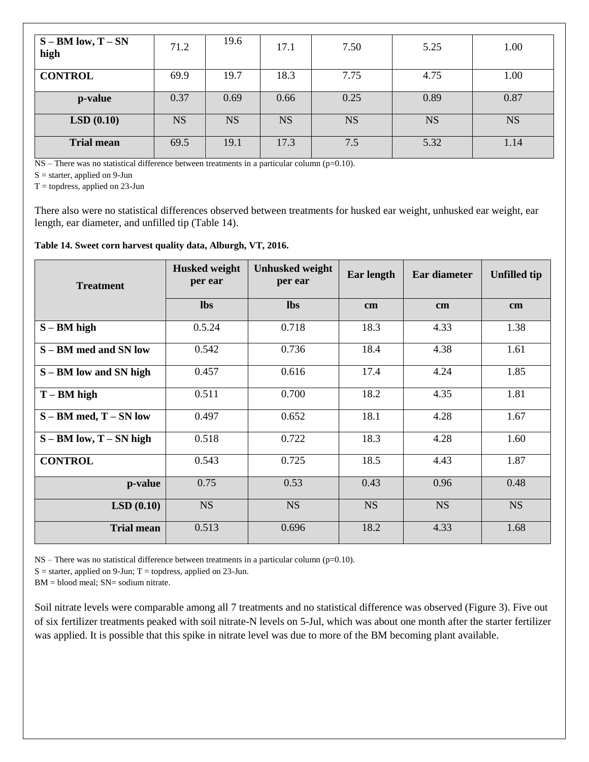| $S - BM$ low, $T - SN$<br>high | 71.2      | 19.6      | 17.1      | 7.50      | 5.25      | 1.00      |
|--------------------------------|-----------|-----------|-----------|-----------|-----------|-----------|
| <b>CONTROL</b>                 | 69.9      | 19.7      | 18.3      | 7.75      | 4.75      | 1.00      |
| p-value                        | 0.37      | 0.69      | 0.66      | 0.25      | 0.89      | 0.87      |
| LSD(0.10)                      | <b>NS</b> | <b>NS</b> | <b>NS</b> | <b>NS</b> | <b>NS</b> | <b>NS</b> |
| <b>Trial mean</b>              | 69.5      | 19.1      | 17.3      | 7.5       | 5.32      | 1.14      |

NS – There was no statistical difference between treatments in a particular column (p=0.10).

 $S =$  starter, applied on 9-Jun

 $T =$  topdress, applied on 23-Jun

There also were no statistical differences observed between treatments for husked ear weight, unhusked ear weight, ear length, ear diameter, and unfilled tip (Table 14).

#### **Table 14. Sweet corn harvest quality data, Alburgh, VT, 2016.**

| <b>Treatment</b>                         | <b>Husked weight</b><br>per ear | <b>Unhusked weight</b><br>per ear | Ear length | Ear diameter | <b>Unfilled tip</b> |
|------------------------------------------|---------------------------------|-----------------------------------|------------|--------------|---------------------|
|                                          | <b>lbs</b>                      | <b>lbs</b>                        | cm         | cm           | cm                  |
| $S - BM$ high                            | 0.5.24                          | 0.718                             | 18.3       | 4.33         | 1.38                |
| S – BM med and SN low                    | 0.542                           | 0.736                             | 18.4       | 4.38         | 1.61                |
| S – BM low and SN high                   | 0.457                           | 0.616                             | 17.4       | 4.24         | 1.85                |
| $T - BM$ high                            | 0.511                           | 0.700                             | 18.2       | 4.35         | 1.81                |
| $S - BM \text{ med}, T - SN \text{ low}$ | 0.497                           | 0.652                             | 18.1       | 4.28         | 1.67                |
| $S - BM$ low, $T - SN$ high              | 0.518                           | 0.722                             | 18.3       | 4.28         | 1.60                |
| <b>CONTROL</b>                           | 0.543                           | 0.725                             | 18.5       | 4.43         | 1.87                |
| p-value                                  | 0.75                            | 0.53                              | 0.43       | 0.96         | 0.48                |
| LSD(0.10)                                | <b>NS</b>                       | <b>NS</b>                         | <b>NS</b>  | <b>NS</b>    | <b>NS</b>           |
| <b>Trial mean</b>                        | 0.513                           | 0.696                             | 18.2       | 4.33         | 1.68                |

NS – There was no statistical difference between treatments in a particular column (p=0.10).

 $S =$  starter, applied on 9-Jun; T = topdress, applied on 23-Jun.

 $BM = blood$  meal;  $SN = sodium$  nitrate.

Soil nitrate levels were comparable among all 7 treatments and no statistical difference was observed (Figure 3). Five out of six fertilizer treatments peaked with soil nitrate-N levels on 5-Jul, which was about one month after the starter fertilizer was applied. It is possible that this spike in nitrate level was due to more of the BM becoming plant available.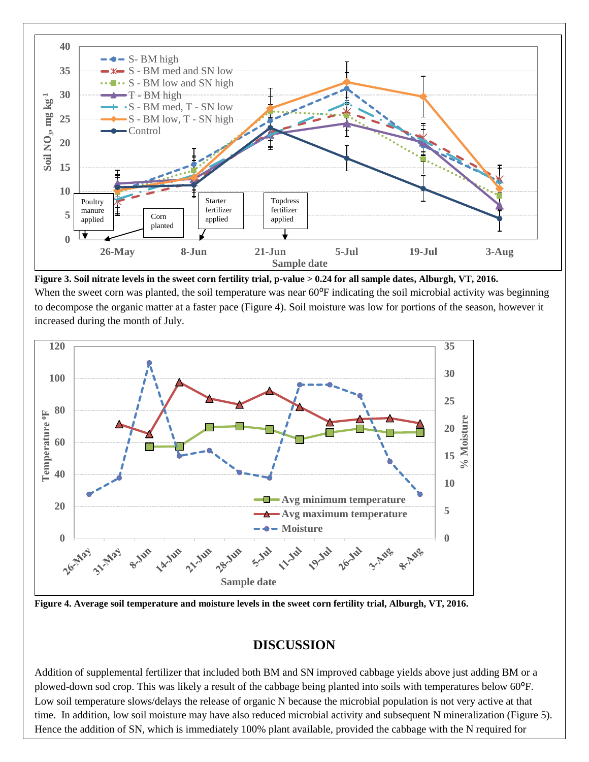

**Figure 3. Soil nitrate levels in the sweet corn fertility trial, p-value > 0.24 for all sample dates, Alburgh, VT, 2016.**  When the sweet corn was planted, the soil temperature was near  $60^{\circ}F$  indicating the soil microbial activity was beginning to decompose the organic matter at a faster pace (Figure 4). Soil moisture was low for portions of the season, however it increased during the month of July.



**Figure 4. Average soil temperature and moisture levels in the sweet corn fertility trial, Alburgh, VT, 2016.**

## **DISCUSSION**

Addition of supplemental fertilizer that included both BM and SN improved cabbage yields above just adding BM or a plowed-down sod crop. This was likely a result of the cabbage being planted into soils with temperatures below 60<sup>o</sup>F. Low soil temperature slows/delays the release of organic N because the microbial population is not very active at that time. In addition, low soil moisture may have also reduced microbial activity and subsequent N mineralization (Figure 5). Hence the addition of SN, which is immediately 100% plant available, provided the cabbage with the N required for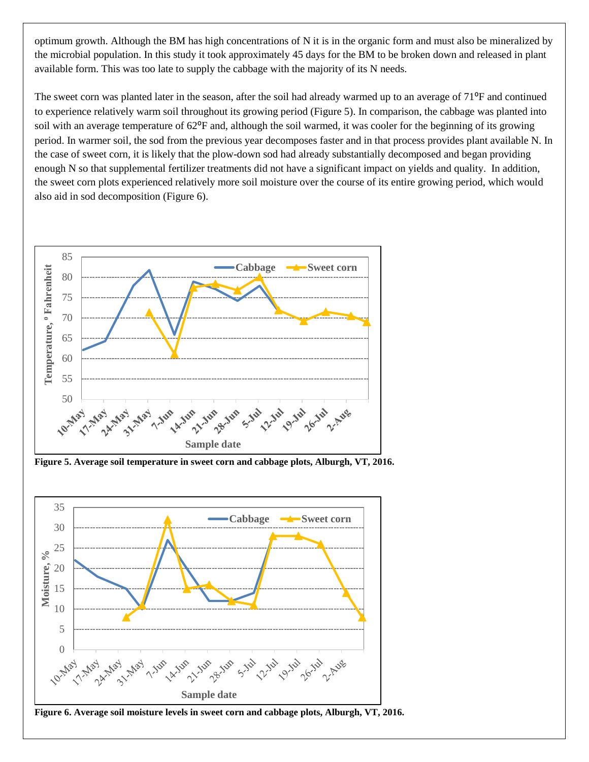optimum growth. Although the BM has high concentrations of N it is in the organic form and must also be mineralized by the microbial population. In this study it took approximately 45 days for the BM to be broken down and released in plant available form. This was too late to supply the cabbage with the majority of its N needs.

The sweet corn was planted later in the season, after the soil had already warmed up to an average of  $71\text{°F}$  and continued to experience relatively warm soil throughout its growing period (Figure 5). In comparison, the cabbage was planted into soil with an average temperature of 62<sup>o</sup>F and, although the soil warmed, it was cooler for the beginning of its growing period. In warmer soil, the sod from the previous year decomposes faster and in that process provides plant available N. In the case of sweet corn, it is likely that the plow-down sod had already substantially decomposed and began providing enough N so that supplemental fertilizer treatments did not have a significant impact on yields and quality. In addition, the sweet corn plots experienced relatively more soil moisture over the course of its entire growing period, which would also aid in sod decomposition (Figure 6).



**Figure 5. Average soil temperature in sweet corn and cabbage plots, Alburgh, VT, 2016.**